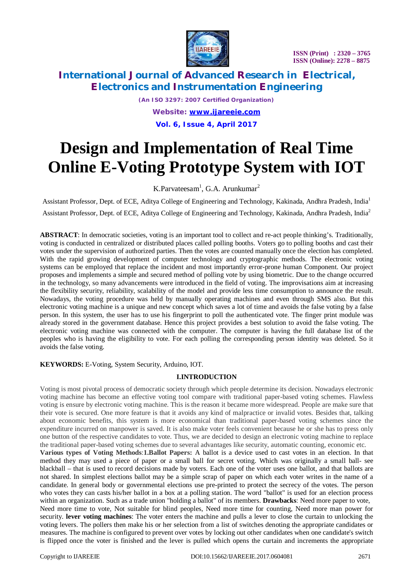

## **International Journal of Advanced Research in Electrical, Electronics and Instrumentation Engineering**

*(An ISO 3297: 2007 Certified Organization) Website: [www.ijareeie.com](http://www.ijareeie.com)* **Vol. 6, Issue 4, April 2017**

# **Design and Implementation of Real Time Online E-Voting Prototype System with IOT**

### K.Parvateesam<sup>1</sup>, G.A. Arunkumar<sup>2</sup>

Assistant Professor, Dept. of ECE, Aditya College of Engineering and Technology, Kakinada, Andhra Pradesh, India<sup>1</sup> Assistant Professor, Dept. of ECE, Aditya College of Engineering and Technology, Kakinada, Andhra Pradesh, India<sup>2</sup>

**ABSTRACT**: In democratic societies, voting is an important tool to collect and re-act people thinking's. Traditionally, voting is conducted in centralized or distributed places called polling booths. Voters go to polling booths and cast their votes under the supervision of authorized parties. Then the votes are counted manually once the election has completed. With the rapid growing development of computer technology and cryptographic methods. The electronic voting systems can be employed that replace the incident and most importantly error-prone human Component. Our project proposes and implements a simple and secured method of polling vote by using biometric. Due to the change occurred in the technology, so many advancements were introduced in the field of voting. The improvisations aim at increasing the flexibility security, reliability, scalability of the model and provide less time consumption to announce the result. Nowadays, the voting procedure was held by manually operating machines and even through SMS also. But this electronic voting machine is a unique and new concept which saves a lot of time and avoids the false voting by a false person. In this system, the user has to use his fingerprint to poll the authenticated vote. The finger print module was already stored in the government database. Hence this project provides a best solution to avoid the false voting. The electronic voting machine was connected with the computer. The computer is having the full database list of the peoples who is having the eligibility to vote. For each polling the corresponding person identity was deleted. So it avoids the false voting.

**KEYWORDS:** E-Voting, System Security, Arduino, IOT.

#### **I.INTRODUCTION**

Voting is most pivotal process of democratic society through which people determine its decision. Nowadays electronic voting machine has become an effective voting tool compare with traditional paper-based voting schemes. Flawless voting is ensure by electronic voting machine. This is the reason it became more widespread. People are make sure that their vote is secured. One more feature is that it avoids any kind of malpractice or invalid votes. Besides that, talking about economic benefits, this system is more economical than traditional paper-based voting schemes since the expenditure incurred on manpower is saved. It is also make voter feels convenient because he or she has to press only one button of the respective candidates to vote. Thus, we are decided to design an electronic voting machine to replace the traditional paper-based voting schemes due to several advantages like security, automatic counting, economic etc.

**Various types of Voting Methods**:**1.Ballot Papers:** A ballot is a device used to cast votes in an election. In that method they may used a piece of paper or a small ball for secret voting. Which was originally a small ball- see blackball – that is used to record decisions made by voters. Each one of the voter uses one ballot, and that ballots are not shared. In simplest elections ballot may be a simple scrap of paper on which each voter writes in the name of a candidate. In general body or governmental elections use pre-printed to protect the secrecy of the votes. The person who votes they can casts his/her ballot in a box at a polling station. The word "ballot" is used for an election process within an organization. Such as a trade union "holding a ballot" of its members. **Drawbacks**: Need more paper to vote, Need more time to vote, Not suitable for blind peoples, Need more time for counting, Need more man power for security. **lever voting machines**: The voter enters the machine and pulls a lever to close the curtain to unlocking the voting levers. The pollers then make his or her selection from a list of switches denoting the appropriate candidates or

measures. The machine is configured to prevent over votes by locking out other candidates when one candidate's switch is flipped once the voter is finished and the lever is pulled which opens the curtain and increments the appropriate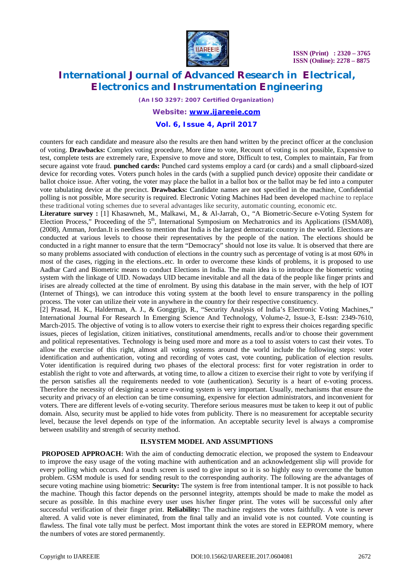

### **International Journal of Advanced Research in Electrical, Electronics and Instrumentation Engineering**

*(An ISO 3297: 2007 Certified Organization)*

#### *Website: [www.ijareeie.com](http://www.ijareeie.com)*

#### **Vol. 6, Issue 4, April 2017**

counters for each candidate and measure also the results are then hand written by the precinct officer at the conclusion of voting. **Drawbacks:** Complex voting procedure, More time to vote, Recount of voting is not possible, Expensive to test, complete tests are extremely rare, Expensive to move and store, Difficult to test, Complex to maintain, Far from secure against vote fraud. **punched cards:** Punched card systems employ a card (or cards) and a small clipboard-sized device for recording votes. Voters punch holes in the cards (with a supplied punch device) opposite their candidate or ballot choice issue. After voting, the voter may place the ballot in a ballot box or the ballot may be fed into a computer vote tabulating device at the precinct. **Drawbacks:** Candidate names are not specified in the machine, Confidential polling is not possible, More security is required. Electronic Voting Machines Had been developed machine to replace these traditional voting schemes due to several advantages like security, automatic counting, economic etc.

**Literature survey :** [1] Khasawneh, M., Malkawi, M., & Al-Jarrah, O., "A Biometric-Secure e-Voting System for Election Process," Proceeding of the 5<sup>th</sup>, International Symposium on Mechatronics and its Applications (ISMA08), (2008), Amman, Jordan.It is needless to mention that India is the largest democratic country in the world. Elections are conducted at various levels to choose their representatives by the people of the nation. The elections should be conducted in a right manner to ensure that the term "Democracy" should not lose its value. It is observed that there are so many problems associated with conduction of elections in the country such as percentage of voting is at most 60% in most of the cases, rigging in the elections..etc. In order to overcome these kinds of problems, it is proposed to use Aadhar Card and Biometric means to conduct Elections in India. The main idea is to introduce the biometric voting system with the linkage of UID. Nowadays UID became inevitable and all the data of the people like finger prints and irises are already collected at the time of enrolment. By using this database in the main server, with the help of IOT (Internet of Things), we can introduce this voting system at the booth level to ensure transparency in the polling process. The voter can utilize their vote in anywhere in the country for their respective constituency.

[2] Prasad, H. K., Halderman, A. J., & Gonggrijp, R., "Security Analysis of India's Electronic Voting Machines," International Journal For Research In Emerging Science And Technology, Volume-2, Issue-3, E-Issn: 2349-7610, March-2015. The objective of voting is to allow voters to exercise their right to express their choices regarding specific issues, pieces of legislation, citizen initiatives, constitutional amendments, recalls and/or to choose their government and political representatives. Technology is being used more and more as a tool to assist voters to cast their votes. To allow the exercise of this right, almost all voting systems around the world include the following steps: voter identification and authentication, voting and recording of votes cast, vote counting, publication of election results. Voter identification is required during two phases of the electoral process: first for voter registration in order to establish the right to vote and afterwards, at voting time, to allow a citizen to exercise their right to vote by verifying if the person satisfies all the requirements needed to vote (authentication). Security is a heart of e-voting process. Therefore the necessity of designing a secure e-voting system is very important. Usually, mechanisms that ensure the security and privacy of an election can be time consuming, expensive for election administrators, and inconvenient for voters. There are different levels of e-voting security. Therefore serious measures must be taken to keep it out of public domain. Also, security must be applied to hide votes from publicity. There is no measurement for acceptable security level, because the level depends on type of the information. An acceptable security level is always a compromise between usability and strength of security method.

#### **II.SYSTEM MODEL AND ASSUMPTIONS**

**PROPOSED APPROACH:** With the aim of conducting democratic election, we proposed the system to Endeavour to improve the easy usage of the voting machine with authentication and an acknowledgement slip will provide for every polling which occurs. And a touch screen is used to give input so it is so highly easy to overcome the button problem. GSM module is used for sending result to the corresponding authority. The following are the advantages of secure voting machine using biometric: **Security:** The system is free from intentional tamper. It is not possible to hack the machine. Though this factor depends on the personnel integrity, attempts should be made to make the model as secure as possible. In this machine every user uses his/her finger print. The votes will be successful only after successful verification of their finger print. **Reliability:** The machine registers the votes faithfully. A vote is never altered. A valid vote is never eliminated, from the final tally and an invalid vote is not counted. Vote counting is flawless. The final vote tally must be perfect. Most important think the votes are stored in EEPROM memory, where the numbers of votes are stored permanently.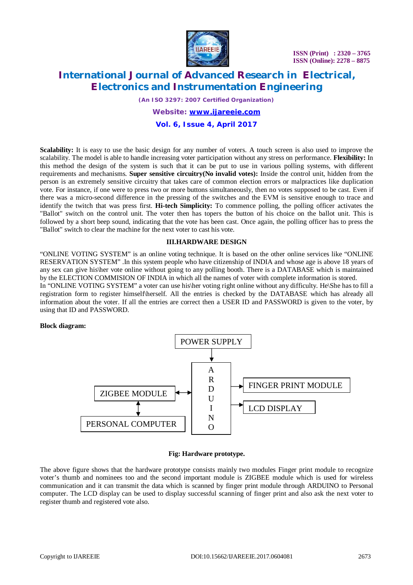

### **International Journal of Advanced Research in Electrical, Electronics and Instrumentation Engineering**

*(An ISO 3297: 2007 Certified Organization) Website: [www.ijareeie.com](http://www.ijareeie.com)* **Vol. 6, Issue 4, April 2017**

**Scalability:** It is easy to use the basic design for any number of voters. A touch screen is also used to improve the scalability. The model is able to handle increasing voter participation without any stress on performance. **Flexibility:** In this method the design of the system is such that it can be put to use in various polling systems, with different requirements and mechanisms. **Super sensitive circuitry(No invalid votes):** Inside the control unit, hidden from the person is an extremely sensitive circuitry that takes care of common election errors or malpractices like duplication vote. For instance, if one were to press two or more buttons simultaneously, then no votes supposed to be cast. Even if there was a micro-second difference in the pressing of the switches and the EVM is sensitive enough to trace and identify the twitch that was press first. **Hi-tech Simplicity:** To commence polling, the polling officer activates the "Ballot" switch on the control unit. The voter then has topers the button of his choice on the ballot unit. This is followed by a short beep sound, indicating that the vote has been cast. Once again, the polling officer has to press the "Ballot" switch to clear the machine for the next voter to cast his vote.

#### **III.HARDWARE DESIGN**

"ONLINE VOTING SYSTEM" is an online voting technique. It is based on the other online services like "ONLINE RESERVATION SYSTEM" .In this system people who have citizenship of INDIA and whose age is above 18 years of any sex can give his\her vote online without going to any polling booth. There is a DATABASE which is maintained by the ELECTION COMMISION OF INDIA in which all the names of voter with complete information is stored. In "ONLINE VOTING SYSTEM" a voter can use his\her voting right online without any difficulty. He\She has to fill a registration form to register himself\herself. All the entries is checked by the DATABASE which has already all information about the voter. If all the entries are correct then a USER ID and PASSWORD is given to the voter, by using that ID and PASSWORD.

#### **Block diagram:**



#### **Fig: Hardware prototype.**

The above figure shows that the hardware prototype consists mainly two modules Finger print module to recognize voter's thumb and nominees too and the second important module is ZIGBEE module which is used for wireless communication and it can transmit the data which is scanned by finger print module through ARDUINO to Personal computer. The LCD display can be used to display successful scanning of finger print and also ask the next voter to register thumb and registered vote also.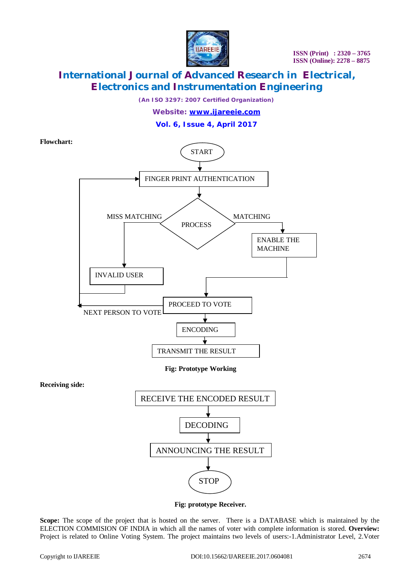

### **International Journal of Advanced Research in Electrical, Electronics and Instrumentation Engineering**

*(An ISO 3297: 2007 Certified Organization)*

*Website: [www.ijareeie.com](http://www.ijareeie.com)*

#### **Vol. 6, Issue 4, April 2017**

**Flowchart:** START FINGER PRINT AUTHENTICATION MISS MATCHING MATCHING PROCESS ENABLE THE MACHINE INVALID USER PROCEED TO VOTE NEXT PERSON TO VOTE ENCODING ╈ TRANSMIT THE RESULT**Fig: Prototype Working Receiving side:** RECEIVE THE ENCODED RESULT DECODING ANNOUNCING THE RESULT **STOP** 

 **Fig: prototype Receiver.**

Scope: The scope of the project that is hosted on the server. There is a DATABASE which is maintained by the ELECTION COMMISION OF INDIA in which all the names of voter with complete information is stored. **Overview:**  Project is related to Online Voting System. The project maintains two levels of users:-1.Administrator Level, 2.Voter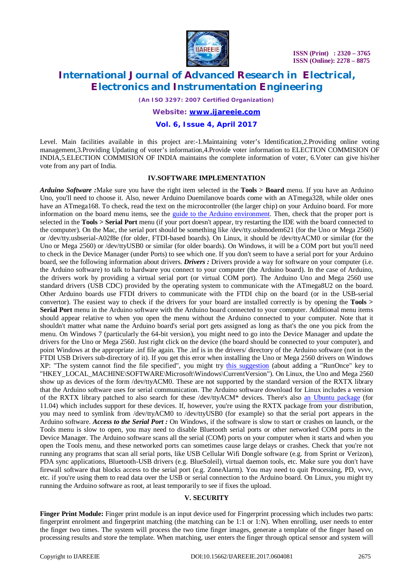

### **International Journal of Advanced Research in Electrical, Electronics and Instrumentation Engineering**

*(An ISO 3297: 2007 Certified Organization)*

#### *Website: [www.ijareeie.com](http://www.ijareeie.com)*

#### **Vol. 6, Issue 4, April 2017**

Level. Main facilities available in this project are:-1.Maintaining voter's Identification,2.Providing online voting management,3.Providing Updating of voter's information,4.Provide voter information to ELECTION COMMISION OF INDIA,5.ELECTION COMMISION OF INDIA maintains the complete information of voter, 6.Voter can give his\her vote from any part of India.

#### **IV.SOFTWARE IMPLEMENTATION**

*Arduino Software :*Make sure you have the right item selected in the **Tools > Board** menu. If you have an Arduino Uno, you'll need to choose it. Also, newer Arduino Duemilanove boards come with an ATmega328, while older ones have an ATmega168. To check, read the text on the microcontroller (the larger chip) on your Arduino board. For more information on the board menu items, see the guide to the Arduino environment. Then, check that the proper port is selected in the **Tools > Serial Port** menu (if your port doesn't appear, try restarting the IDE with the board connected to the computer). On the Mac, the serial port should be something like /dev/tty.usbmodem621 (for the Uno or Mega 2560) or /dev/tty.usbserial-A02f8e (for older, FTDI-based boards). On Linux, it should be /dev/ttyACM0 or similar (for the Uno or Mega 2560) or /dev/ttyUSB0 or similar (for older boards). On Windows, it will be a COM port but you'll need to check in the Device Manager (under Ports) to see which one. If you don't seem to have a serial port for your Arduino board, see the following information about drivers. *Drivers :* Drivers provide a way for software on your computer (i.e. the Arduino software) to talk to hardware you connect to your computer (the Arduino board). In the case of Arduino, the drivers work by providing a virtual serial port (or virtual COM port). The Arduino Uno and Mega 2560 use standard drivers (USB CDC) provided by the operating system to communicate with the ATmega8U2 on the board. Other Arduino boards use FTDI drivers to communicate with the FTDI chip on the board (or in the USB-serial convertor). The easiest way to check if the drivers for your board are installed correctly is by opening the **Tools > Serial Port** menu in the Arduino software with the Arduino board connected to your computer. Additional menu items should appear relative to when you open the menu without the Arduino connected to your computer. Note that it shouldn't matter what name the Arduino board's serial port gets assigned as long as that's the one you pick from the menu. On Windows 7 (particularly the 64-bit version), you might need to go into the Device Manager and update the drivers for the Uno or Mega 2560. Just right click on the device (the board should be connected to your computer), and point Windows at the appropriate .inf file again. The .inf is in the drivers/ directory of the Arduino software (not in the FTDI USB Drivers sub-directory of it). If you get this error when installing the Uno or Mega 2560 drivers on Windows XP: "The system cannot find the file specified", you might try this suggestion (about adding a "RunOnce" key to "HKEY\_LOCAL\_MACHINE\SOFTWARE\Microsoft\Windows\CurrentVersion"). On Linux, the Uno and Mega 2560 show up as devices of the form /dev/ttyACM0. These are not supported by the standard version of the RXTX library that the Arduino software uses for serial communication. The Arduino software download for Linux includes a version of the RXTX library patched to also search for these /dev/ttyACM\* devices. There's also an Ubuntu package (for 11.04) which includes support for these devices. If, however, you're using the RXTX package from your distribution, you may need to symlink from /dev/ttyACM0 to /dev/ttyUSB0 (for example) so that the serial port appears in the Arduino software. *Access to the Serial Port :* On Windows, if the software is slow to start or crashes on launch, or the Tools menu is slow to open, you may need to disable Bluetooth serial ports or other networked COM ports in the Device Manager. The Arduino software scans all the serial (COM) ports on your computer when it starts and when you open the Tools menu, and these networked ports can sometimes cause large delays or crashes. Check that you're not running any programs that scan all serial ports, like USB Cellular Wifi Dongle software (e.g. from Sprint or Verizon), PDA sync applications, Bluetooth-USB drivers (e.g. BlueSoleil), virtual daemon tools, etc. Make sure you don't have firewall software that blocks access to the serial port (e.g. ZoneAlarm). You may need to quit Processing, PD, vvvv, etc. if you're using them to read data over the USB or serial connection to the Arduino board. On Linux, you might try running the Arduino software as root, at least temporarily to see if fixes the upload.

#### **V. SECURITY**

**Finger Print Module:** Finger print module is an input device used for Fingerprint processing which includes two parts: fingerprint enrolment and fingerprint matching (the matching can be 1:1 or 1:N). When enrolling, user needs to enter the finger two times. The system will process the two time finger images, generate a template of the finger based on processing results and store the template. When matching, user enters the finger through optical sensor and system will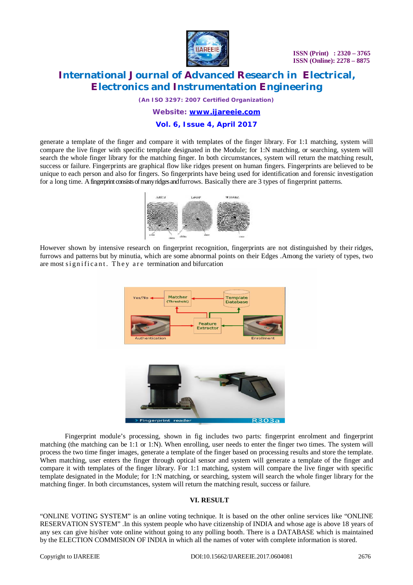

### **International Journal of Advanced Research in Electrical, Electronics and Instrumentation Engineering**

*(An ISO 3297: 2007 Certified Organization)*

#### *Website: [www.ijareeie.com](http://www.ijareeie.com)*

#### **Vol. 6, Issue 4, April 2017**

generate a template of the finger and compare it with templates of the finger library. For 1:1 matching, system will compare the live finger with specific template designated in the Module; for 1:N matching, or searching, system will search the whole finger library for the matching finger. In both circumstances, system will return the matching result, success or failure. Fingerprints are graphical flow like ridges present on human fingers. Fingerprints are believed to be unique to each person and also for fingers. So fingerprints have being used for identification and forensic investigation for a long time. A fingerprint consists of many ridges and furrows. Basically there are 3 types of fingerprint patterns.



However shown by intensive research on fingerprint recognition, fingerprints are not distinguished by their ridges, furrows and patterns but by minutia, which are some abnormal points on their Edges .Among the variety of types, two are most significant. They are termination and bifurcation





Fingerprint module's processing, shown in fig includes two parts: fingerprint enrolment and fingerprint matching (the matching can be 1:1 or 1:N). When enrolling, user needs to enter the finger two times. The system will process the two time finger images, generate a template of the finger based on processing results and store the template. When matching, user enters the finger through optical sensor and system will generate a template of the finger and compare it with templates of the finger library. For 1:1 matching, system will compare the live finger with specific template designated in the Module; for 1:N matching, or searching, system will search the whole finger library for the matching finger. In both circumstances, system will return the matching result, success or failure.

#### **VI. RESULT**

"ONLINE VOTING SYSTEM" is an online voting technique. It is based on the other online services like "ONLINE RESERVATION SYSTEM" .In this system people who have citizenship of INDIA and whose age is above 18 years of any sex can give his\her vote online without going to any polling booth. There is a DATABASE which is maintained by the ELECTION COMMISION OF INDIA in which all the names of voter with complete information is stored.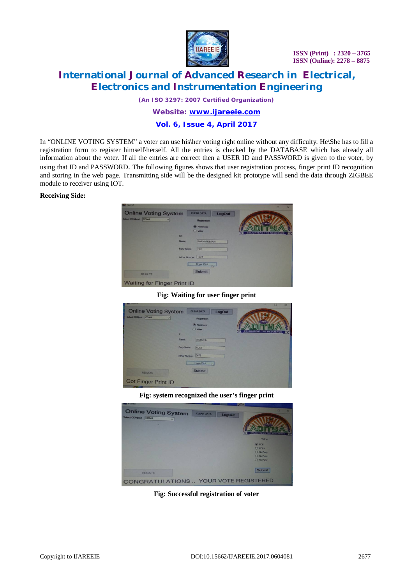

### **International Journal of Advanced Research in Electrical, Electronics and Instrumentation Engineering**

*(An ISO 3297: 2007 Certified Organization)*

#### *Website: [www.ijareeie.com](http://www.ijareeie.com)*

#### **Vol. 6, Issue 4, April 2017**

In "ONLINE VOTING SYSTEM" a voter can use his\her voting right online without any difficulty. He\She has to fill a registration form to register himself\herself. All the entries is checked by the DATABASE which has already all information about the voter. If all the entries are correct then a USER ID and PASSWORD is given to the voter, by using that ID and PASSWORD. The following figures shows that user registration process, finger print ID recognition and storing in the web page. Transmitting side will be the designed kit prototype will send the data through ZIGBEE module to receiver using IOT.

#### **Receiving Side:**

| <b>Online Voting System</b>        | <b>CLEAR DATA</b>                        | <b>LogOut</b> | $\Box$<br>$\times$           |
|------------------------------------|------------------------------------------|---------------|------------------------------|
| Select COMport COM4<br>v.          | Registration                             |               |                              |
| ID:                                | <b>O</b> Nominees<br>O Voter             |               | <b>JOHTENS THE NESCIENCI</b> |
|                                    | Name:<br><b>PARVATEESAM</b>              |               |                              |
|                                    | Party Name:<br>ECE<br>Adhar Number: 1234 |               |                              |
|                                    | <b>Finger Print</b>                      | $-1$ $-1$     |                              |
| <b>RESULTS</b>                     | <b>Submit</b>                            |               |                              |
| <b>Waiting for Finger Print ID</b> |                                          |               |                              |

**Fig: Waiting for user finger print**

| ____                        |                             | o<br>$\times$                   |
|-----------------------------|-----------------------------|---------------------------------|
| <b>Online Voting System</b> | <b>CLEAR DATA</b><br>LogOut | <b>SACTAL ADAM</b>              |
| Select COMport COM4<br>v.   | Registration                |                                 |
|                             | <b><i>C</i></b> Nominees    |                                 |
|                             | O Voter<br>$\overline{z}$   | <b>ENLIGHTENS THE NESCIENCE</b> |
|                             | Name:<br>KISHORE            |                                 |
|                             | Party Name:<br>ECE3         |                                 |
|                             | Adhar Number: 5678          |                                 |
|                             | <b>Finger Part</b><br>N     |                                 |
| <b>RESULTS</b>              | <b>Submit</b>               |                                 |
| <b>Got Finger Print ID</b>  |                             |                                 |

**Fig: system recognized the user's finger print**

| <b>Online Voting System</b><br>Select COMport COM4<br>$\overline{\phantom{a}}$ | <b>CLEAR DATA</b><br><b>LogOut</b>                 |
|--------------------------------------------------------------------------------|----------------------------------------------------|
|                                                                                | NLIGHTENS THE<br>Voting<br>$@$ ECE                 |
|                                                                                | $O$ ECE3<br>O No Party<br>O No Party<br>O No Party |
| <b>RESULTS</b>                                                                 | <b>Submit</b>                                      |

**Fig: Successful registration of voter**